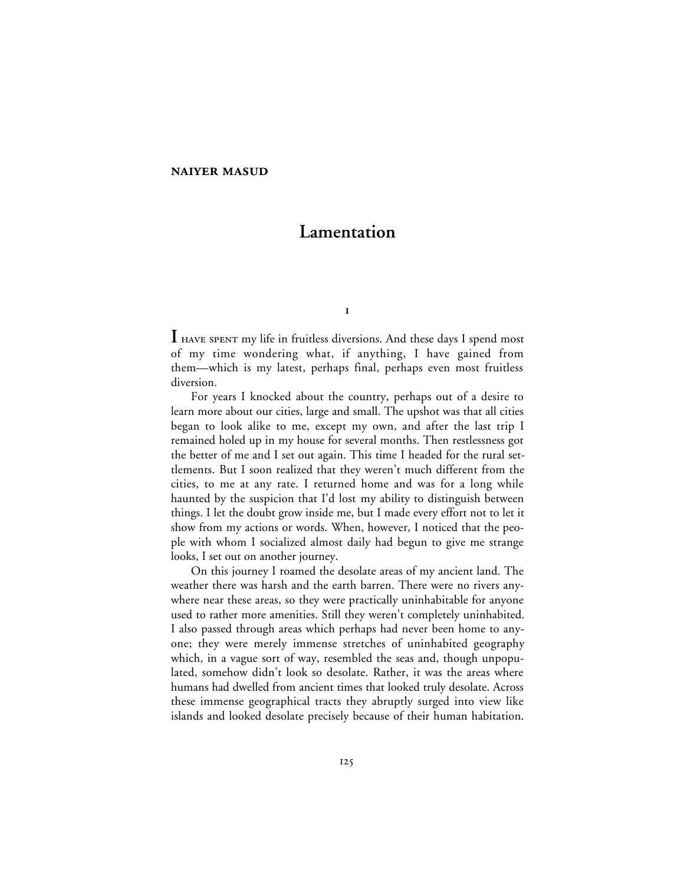## **NAIYER MASUD**

# **Lamentation**

 $\mathbf{I}$ 

**I** HAVE SPENT my life in fruitless diversions. And these days I spend most of my time wondering what, if anything, I have gained from them—which is my latest, perhaps final, perhaps even most fruitless diversion.

For years I knocked about the country, perhaps out of a desire to learn more about our cities, large and small. The upshot was that all cities began to look alike to me, except my own, and after the last trip I remained holed up in my house for several months. Then restlessness got the better of me and I set out again. This time I headed for the rural settlements. But I soon realized that they weren't much different from the cities, to me at any rate. I returned home and was for a long while haunted by the suspicion that I'd lost my ability to distinguish between things. I let the doubt grow inside me, but I made every effort not to let it show from my actions or words. When, however, I noticed that the people with whom I socialized almost daily had begun to give me strange looks, I set out on another journey.

On this journey I roamed the desolate areas of my ancient land. The weather there was harsh and the earth barren. There were no rivers anywhere near these areas, so they were practically uninhabitable for anyone used to rather more amenities. Still they weren't completely uninhabited. I also passed through areas which perhaps had never been home to anyone; they were merely immense stretches of uninhabited geography which, in a vague sort of way, resembled the seas and, though unpopulated, somehow didn't look so desolate. Rather, it was the areas where humans had dwelled from ancient times that looked truly desolate. Across these immense geographical tracts they abruptly surged into view like islands and looked desolate precisely because of their human habitation.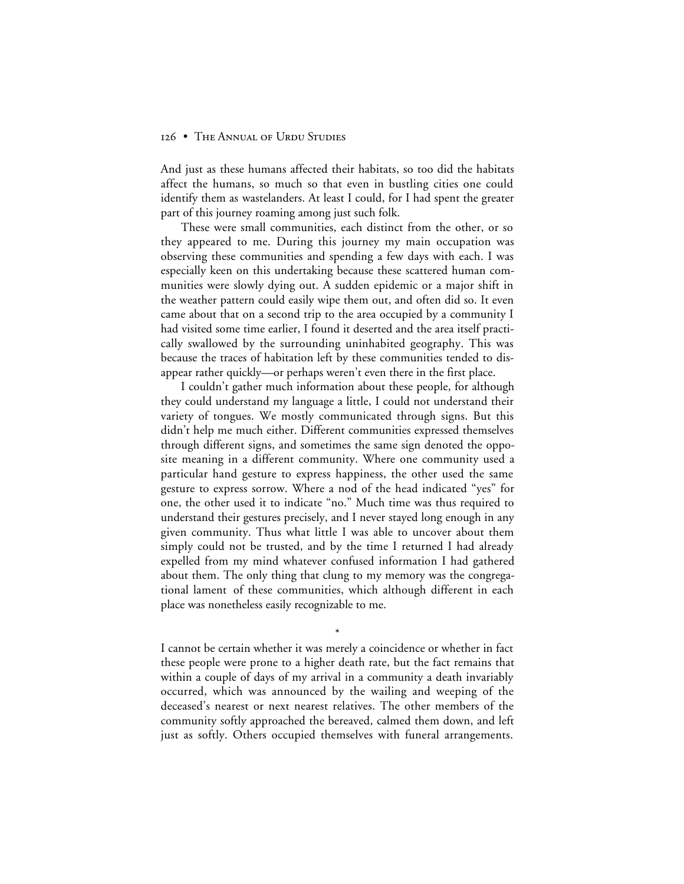And just as these humans affected their habitats, so too did the habitats affect the humans, so much so that even in bustling cities one could identify them as wastelanders. At least I could, for I had spent the greater part of this journey roaming among just such folk.

These were small communities, each distinct from the other, or so they appeared to me. During this journey my main occupation was observing these communities and spending a few days with each. I was especially keen on this undertaking because these scattered human communities were slowly dying out. A sudden epidemic or a major shift in the weather pattern could easily wipe them out, and often did so. It even came about that on a second trip to the area occupied by a community I had visited some time earlier, I found it deserted and the area itself practically swallowed by the surrounding uninhabited geography. This was because the traces of habitation left by these communities tended to disappear rather quickly—or perhaps weren't even there in the first place.

I couldn't gather much information about these people, for although they could understand my language a little, I could not understand their variety of tongues. We mostly communicated through signs. But this didn't help me much either. Different communities expressed themselves through different signs, and sometimes the same sign denoted the opposite meaning in a different community. Where one community used a particular hand gesture to express happiness, the other used the same gesture to express sorrow. Where a nod of the head indicated "yes" for one, the other used it to indicate "no." Much time was thus required to understand their gestures precisely, and I never stayed long enough in any given community. Thus what little I was able to uncover about them simply could not be trusted, and by the time I returned I had already expelled from my mind whatever confused information I had gathered about them. The only thing that clung to my memory was the congregational lament of these communities, which although different in each place was nonetheless easily recognizable to me.

I cannot be certain whether it was merely a coincidence or whether in fact these people were prone to a higher death rate, but the fact remains that within a couple of days of my arrival in a community a death invariably occurred, which was announced by the wailing and weeping of the deceased's nearest or next nearest relatives. The other members of the community softly approached the bereaved, calmed them down, and left just as softly. Others occupied themselves with funeral arrangements.

\*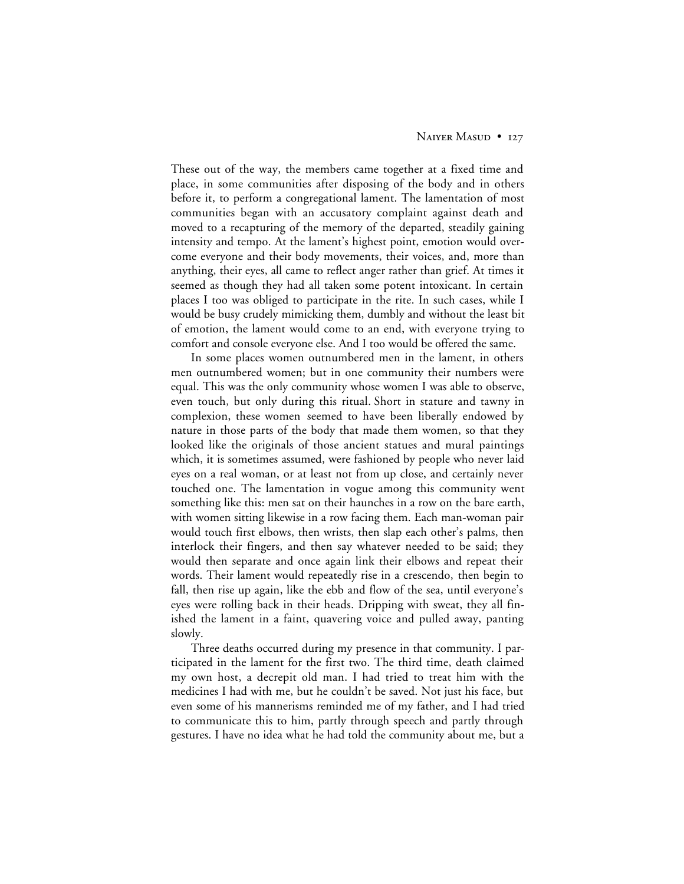These out of the way, the members came together at a fixed time and place, in some communities after disposing of the body and in others before it, to perform a congregational lament. The lamentation of most communities began with an accusatory complaint against death and moved to a recapturing of the memory of the departed, steadily gaining intensity and tempo. At the lament's highest point, emotion would overcome everyone and their body movements, their voices, and, more than anything, their eyes, all came to reflect anger rather than grief. At times it seemed as though they had all taken some potent intoxicant. In certain places I too was obliged to participate in the rite. In such cases, while I would be busy crudely mimicking them, dumbly and without the least bit of emotion, the lament would come to an end, with everyone trying to comfort and console everyone else. And I too would be offered the same.

In some places women outnumbered men in the lament, in others men outnumbered women; but in one community their numbers were equal. This was the only community whose women I was able to observe, even touch, but only during this ritual. Short in stature and tawny in complexion, these women seemed to have been liberally endowed by nature in those parts of the body that made them women, so that they looked like the originals of those ancient statues and mural paintings which, it is sometimes assumed, were fashioned by people who never laid eyes on a real woman, or at least not from up close, and certainly never touched one. The lamentation in vogue among this community went something like this: men sat on their haunches in a row on the bare earth, with women sitting likewise in a row facing them. Each man-woman pair would touch first elbows, then wrists, then slap each other's palms, then interlock their fingers, and then say whatever needed to be said; they would then separate and once again link their elbows and repeat their words. Their lament would repeatedly rise in a crescendo, then begin to fall, then rise up again, like the ebb and flow of the sea, until everyone's eyes were rolling back in their heads. Dripping with sweat, they all finished the lament in a faint, quavering voice and pulled away, panting slowly.

Three deaths occurred during my presence in that community. I participated in the lament for the first two. The third time, death claimed my own host, a decrepit old man. I had tried to treat him with the medicines I had with me, but he couldn't be saved. Not just his face, but even some of his mannerisms reminded me of my father, and I had tried to communicate this to him, partly through speech and partly through gestures. I have no idea what he had told the community about me, but a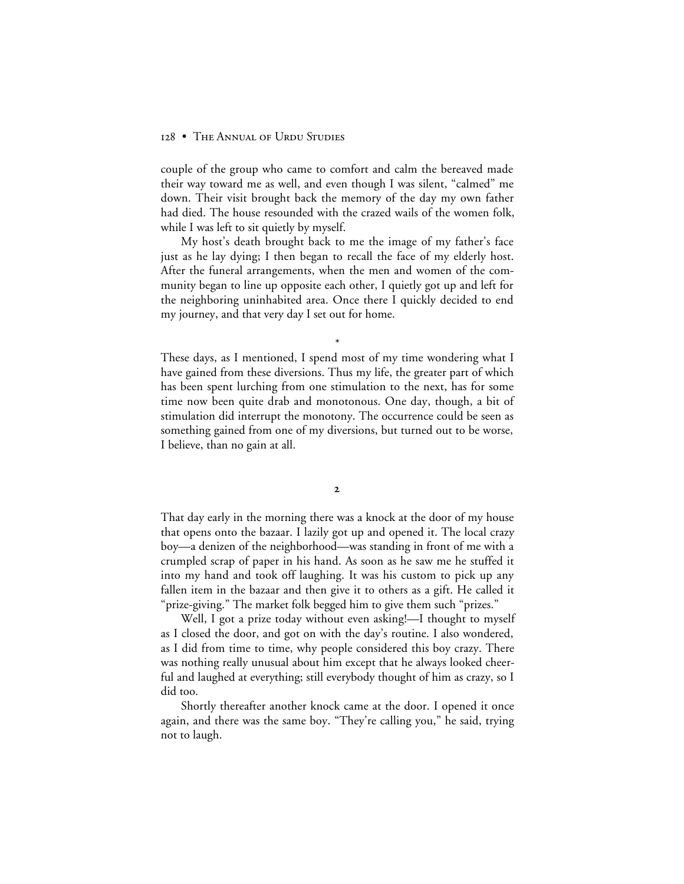couple of the group who came to comfort and calm the bereaved made their way toward me as well, and even though I was silent, "calmed" me down. Their visit brought back the memory of the day my own father had died. The house resounded with the crazed wails of the women folk, while I was left to sit quietly by myself.

My host's death brought back to me the image of my father's face just as he lay dying; I then began to recall the face of my elderly host. After the funeral arrangements, when the men and women of the community began to line up opposite each other, I quietly got up and left for the neighboring uninhabited area. Once there I quickly decided to end my journey, and that very day I set out for home.

\*

These days, as I mentioned, I spend most of my time wondering what I have gained from these diversions. Thus my life, the greater part of which has been spent lurching from one stimulation to the next, has for some time now been quite drab and monotonous. One day, though, a bit of stimulation did interrupt the monotony. The occurrence could be seen as something gained from one of my diversions, but turned out to be worse, I believe, than no gain at all.

 $\overline{2}$ 

That day early in the morning there was a knock at the door of my house that opens onto the bazaar. I lazily got up and opened it. The local crazy boy—a denizen of the neighborhood—was standing in front of me with a crumpled scrap of paper in his hand. As soon as he saw me he stuffed it into my hand and took off laughing. It was his custom to pick up any fallen item in the bazaar and then give it to others as a gift. He called it "prize-giving." The market folk begged him to give them such "prizes."

Well, I got a prize today without even asking!—I thought to myself as I closed the door, and got on with the day's routine. I also wondered, as I did from time to time, why people considered this boy crazy. There was nothing really unusual about him except that he always looked cheerful and laughed at everything; still everybody thought of him as crazy, so I did too.

Shortly thereafter another knock came at the door. I opened it once again, and there was the same boy. "They're calling you," he said, trying not to laugh.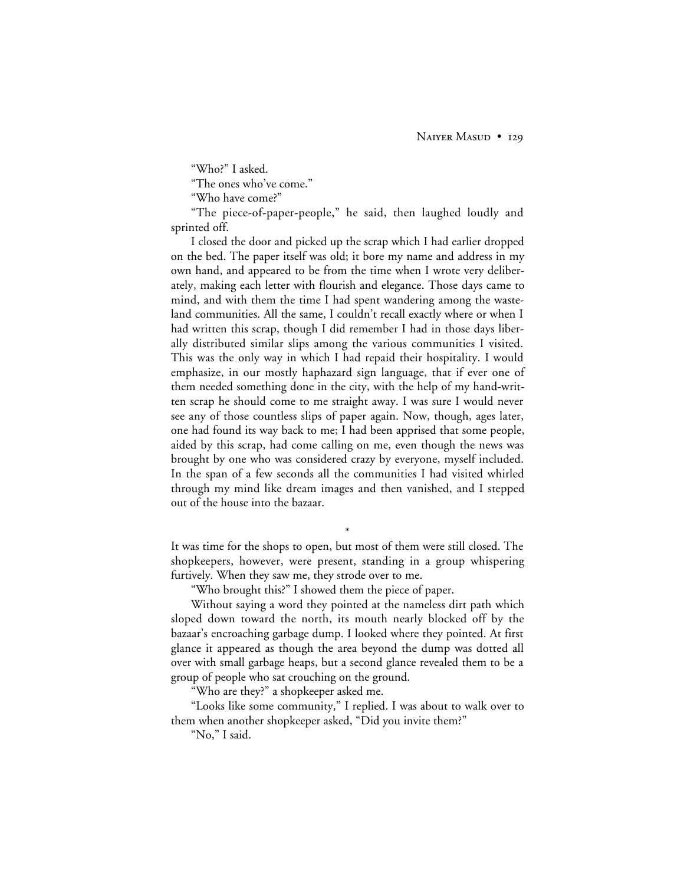"Who?" I asked.

"The ones who've come."

"Who have come?"

"The piece-of-paper-people," he said, then laughed loudly and sprinted off.

I closed the door and picked up the scrap which I had earlier dropped on the bed. The paper itself was old; it bore my name and address in my own hand, and appeared to be from the time when I wrote very deliberately, making each letter with flourish and elegance. Those days came to mind, and with them the time I had spent wandering among the wasteland communities. All the same, I couldn't recall exactly where or when I had written this scrap, though I did remember I had in those days liberally distributed similar slips among the various communities I visited. This was the only way in which I had repaid their hospitality. I would emphasize, in our mostly haphazard sign language, that if ever one of them needed something done in the city, with the help of my hand-written scrap he should come to me straight away. I was sure I would never see any of those countless slips of paper again. Now, though, ages later, one had found its way back to me; I had been apprised that some people, aided by this scrap, had come calling on me, even though the news was brought by one who was considered crazy by everyone, myself included. In the span of a few seconds all the communities I had visited whirled through my mind like dream images and then vanished, and I stepped out of the house into the bazaar.

It was time for the shops to open, but most of them were still closed. The shopkeepers, however, were present, standing in a group whispering furtively. When they saw me, they strode over to me.

\*

"Who brought this?" I showed them the piece of paper.

Without saying a word they pointed at the nameless dirt path which sloped down toward the north, its mouth nearly blocked off by the bazaar's encroaching garbage dump. I looked where they pointed. At first glance it appeared as though the area beyond the dump was dotted all over with small garbage heaps, but a second glance revealed them to be a group of people who sat crouching on the ground.

"Who are they?" a shopkeeper asked me.

"Looks like some community," I replied. I was about to walk over to them when another shopkeeper asked, "Did you invite them?"

"No," I said.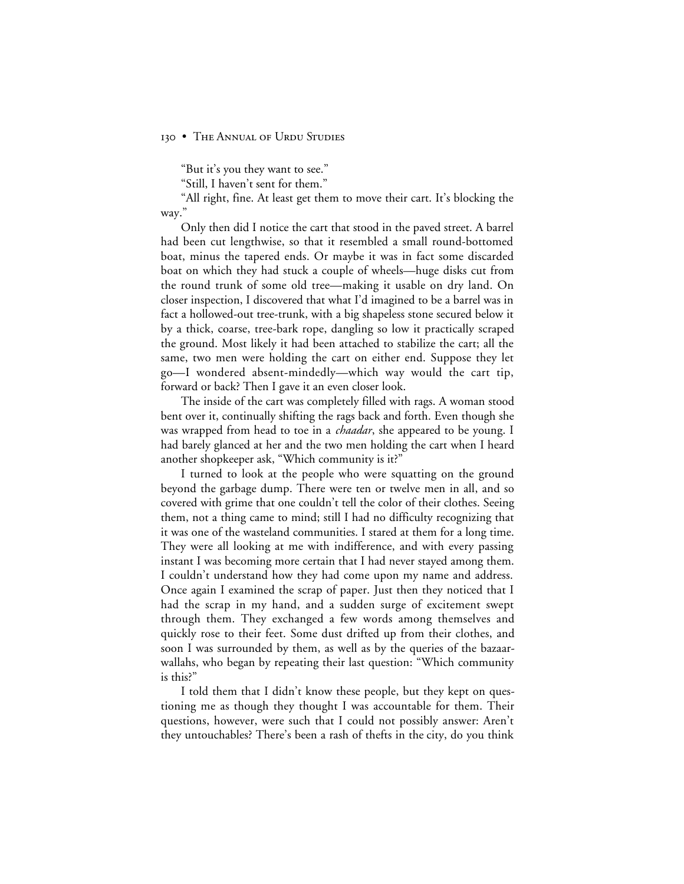"But it's you they want to see."

"Still, I haven't sent for them."

"All right, fine. At least get them to move their cart. It's blocking the way."

Only then did I notice the cart that stood in the paved street. A barrel had been cut lengthwise, so that it resembled a small round-bottomed boat, minus the tapered ends. Or maybe it was in fact some discarded boat on which they had stuck a couple of wheels—huge disks cut from the round trunk of some old tree—making it usable on dry land. On closer inspection, I discovered that what I'd imagined to be a barrel was in fact a hollowed-out tree-trunk, with a big shapeless stone secured below it by a thick, coarse, tree-bark rope, dangling so low it practically scraped the ground. Most likely it had been attached to stabilize the cart; all the same, two men were holding the cart on either end. Suppose they let go—I wondered absent-mindedly—which way would the cart tip, forward or back? Then I gave it an even closer look.

The inside of the cart was completely filled with rags. A woman stood bent over it, continually shifting the rags back and forth. Even though she was wrapped from head to toe in a *chaadar*, she appeared to be young. I had barely glanced at her and the two men holding the cart when I heard another shopkeeper ask, "Which community is it?"

I turned to look at the people who were squatting on the ground beyond the garbage dump. There were ten or twelve men in all, and so covered with grime that one couldn't tell the color of their clothes. Seeing them, not a thing came to mind; still I had no difficulty recognizing that it was one of the wasteland communities. I stared at them for a long time. They were all looking at me with indifference, and with every passing instant I was becoming more certain that I had never stayed among them. I couldn't understand how they had come upon my name and address. Once again I examined the scrap of paper. Just then they noticed that I had the scrap in my hand, and a sudden surge of excitement swept through them. They exchanged a few words among themselves and quickly rose to their feet. Some dust drifted up from their clothes, and soon I was surrounded by them, as well as by the queries of the bazaarwallahs, who began by repeating their last question: "Which community is this?"

I told them that I didn't know these people, but they kept on questioning me as though they thought I was accountable for them. Their questions, however, were such that I could not possibly answer: Aren't they untouchables? There's been a rash of thefts in the city, do you think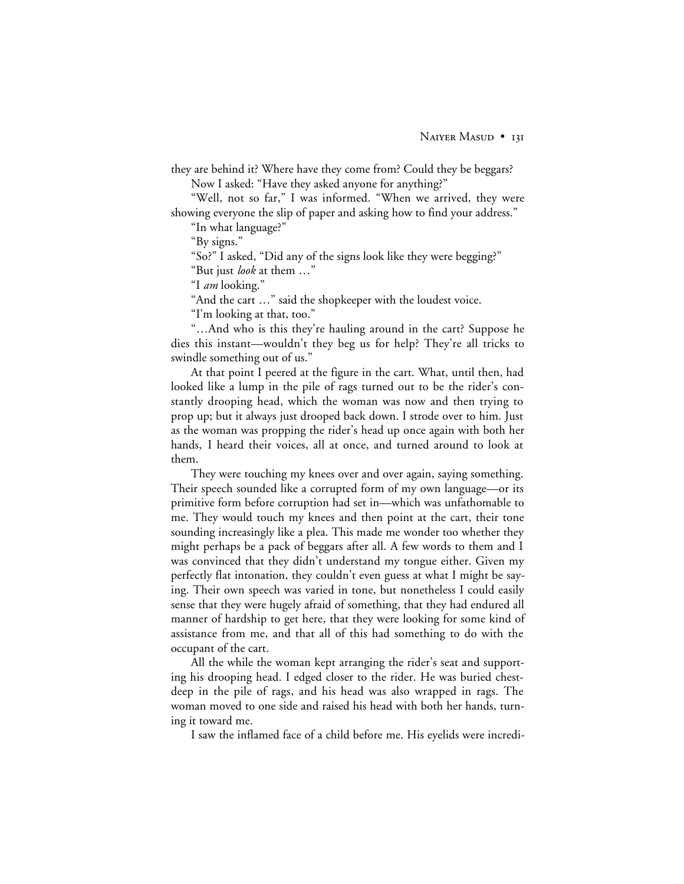they are behind it? Where have they come from? Could they be beggars? Now I asked: "Have they asked anyone for anything?"

"Well, not so far," I was informed. "When we arrived, they were showing everyone the slip of paper and asking how to find your address."

"In what language?"

"By signs."

"So?" I asked, "Did any of the signs look like they were begging?" "But just *look* at them …"

"I *am* looking."

"And the cart …" said the shopkeeper with the loudest voice.

"I'm looking at that, too."

"…And who is this they're hauling around in the cart? Suppose he dies this instant—wouldn't they beg us for help? They're all tricks to swindle something out of us."

At that point I peered at the figure in the cart. What, until then, had looked like a lump in the pile of rags turned out to be the rider's constantly drooping head, which the woman was now and then trying to prop up; but it always just drooped back down. I strode over to him. Just as the woman was propping the rider's head up once again with both her hands, I heard their voices, all at once, and turned around to look at them.

They were touching my knees over and over again, saying something. Their speech sounded like a corrupted form of my own language—or its primitive form before corruption had set in—which was unfathomable to me. They would touch my knees and then point at the cart, their tone sounding increasingly like a plea. This made me wonder too whether they might perhaps be a pack of beggars after all. A few words to them and I was convinced that they didn't understand my tongue either. Given my perfectly flat intonation, they couldn't even guess at what I might be saying. Their own speech was varied in tone, but nonetheless I could easily sense that they were hugely afraid of something, that they had endured all manner of hardship to get here, that they were looking for some kind of assistance from me, and that all of this had something to do with the occupant of the cart.

All the while the woman kept arranging the rider's seat and supporting his drooping head. I edged closer to the rider. He was buried chestdeep in the pile of rags, and his head was also wrapped in rags. The woman moved to one side and raised his head with both her hands, turning it toward me.

I saw the inflamed face of a child before me. His eyelids were incredi-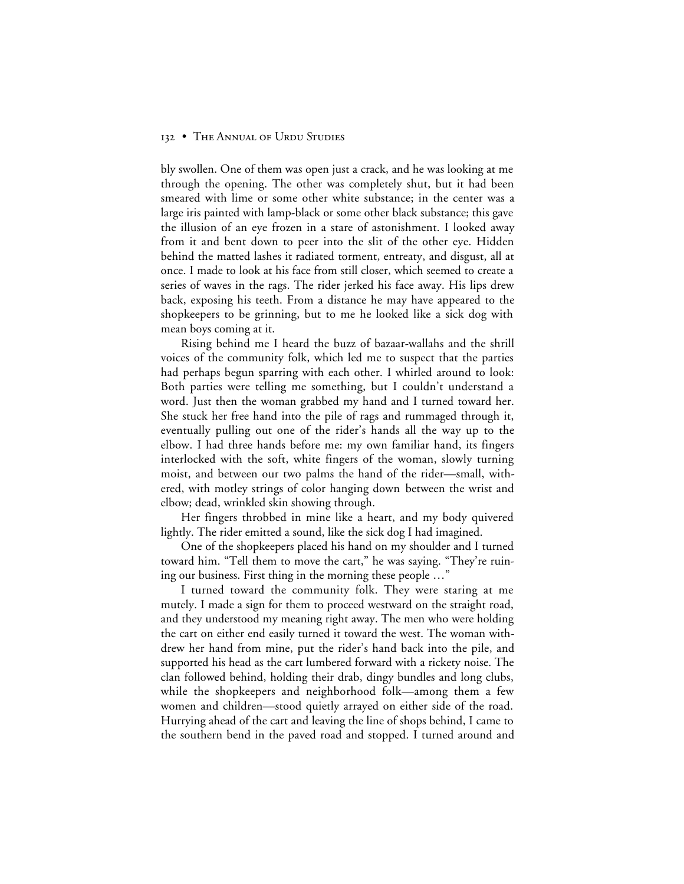bly swollen. One of them was open just a crack, and he was looking at me through the opening. The other was completely shut, but it had been smeared with lime or some other white substance; in the center was a large iris painted with lamp-black or some other black substance; this gave the illusion of an eye frozen in a stare of astonishment. I looked away from it and bent down to peer into the slit of the other eye. Hidden behind the matted lashes it radiated torment, entreaty, and disgust, all at once. I made to look at his face from still closer, which seemed to create a series of waves in the rags. The rider jerked his face away. His lips drew back, exposing his teeth. From a distance he may have appeared to the shopkeepers to be grinning, but to me he looked like a sick dog with mean boys coming at it.

Rising behind me I heard the buzz of bazaar-wallahs and the shrill voices of the community folk, which led me to suspect that the parties had perhaps begun sparring with each other. I whirled around to look: Both parties were telling me something, but I couldn't understand a word. Just then the woman grabbed my hand and I turned toward her. She stuck her free hand into the pile of rags and rummaged through it, eventually pulling out one of the rider's hands all the way up to the elbow. I had three hands before me: my own familiar hand, its fingers interlocked with the soft, white fingers of the woman, slowly turning moist, and between our two palms the hand of the rider—small, withered, with motley strings of color hanging down between the wrist and elbow; dead, wrinkled skin showing through.

Her fingers throbbed in mine like a heart, and my body quivered lightly. The rider emitted a sound, like the sick dog I had imagined.

One of the shopkeepers placed his hand on my shoulder and I turned toward him. "Tell them to move the cart," he was saying. "They're ruining our business. First thing in the morning these people …"

I turned toward the community folk. They were staring at me mutely. I made a sign for them to proceed westward on the straight road, and they understood my meaning right away. The men who were holding the cart on either end easily turned it toward the west. The woman withdrew her hand from mine, put the rider's hand back into the pile, and supported his head as the cart lumbered forward with a rickety noise. The clan followed behind, holding their drab, dingy bundles and long clubs, while the shopkeepers and neighborhood folk—among them a few women and children—stood quietly arrayed on either side of the road. Hurrying ahead of the cart and leaving the line of shops behind, I came to the southern bend in the paved road and stopped. I turned around and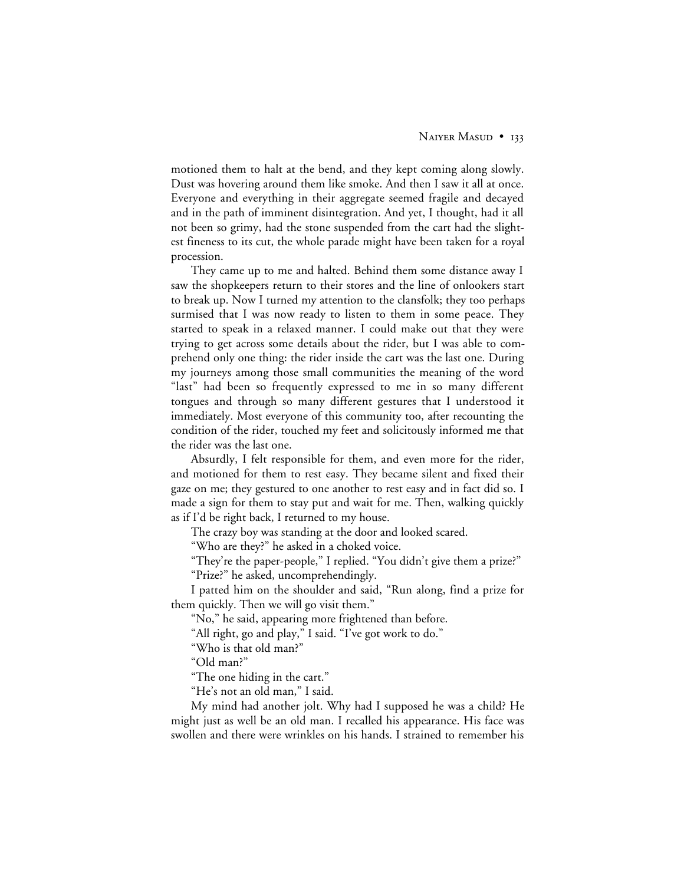motioned them to halt at the bend, and they kept coming along slowly. Dust was hovering around them like smoke. And then I saw it all at once. Everyone and everything in their aggregate seemed fragile and decayed and in the path of imminent disintegration. And yet, I thought, had it all not been so grimy, had the stone suspended from the cart had the slightest fineness to its cut, the whole parade might have been taken for a royal procession.

They came up to me and halted. Behind them some distance away I saw the shopkeepers return to their stores and the line of onlookers start to break up. Now I turned my attention to the clansfolk; they too perhaps surmised that I was now ready to listen to them in some peace. They started to speak in a relaxed manner. I could make out that they were trying to get across some details about the rider, but I was able to comprehend only one thing: the rider inside the cart was the last one. During my journeys among those small communities the meaning of the word "last" had been so frequently expressed to me in so many different tongues and through so many different gestures that I understood it immediately. Most everyone of this community too, after recounting the condition of the rider, touched my feet and solicitously informed me that the rider was the last one.

Absurdly, I felt responsible for them, and even more for the rider, and motioned for them to rest easy. They became silent and fixed their gaze on me; they gestured to one another to rest easy and in fact did so. I made a sign for them to stay put and wait for me. Then, walking quickly as if I'd be right back, I returned to my house.

The crazy boy was standing at the door and looked scared.

"Who are they?" he asked in a choked voice.

"They're the paper-people," I replied. "You didn't give them a prize?" "Prize?" he asked, uncomprehendingly.

I patted him on the shoulder and said, "Run along, find a prize for them quickly. Then we will go visit them."

"No," he said, appearing more frightened than before.

"All right, go and play," I said. "I've got work to do."

"Who is that old man?"

"Old man?"

"The one hiding in the cart."

"He's not an old man," I said.

My mind had another jolt. Why had I supposed he was a child? He might just as well be an old man. I recalled his appearance. His face was swollen and there were wrinkles on his hands. I strained to remember his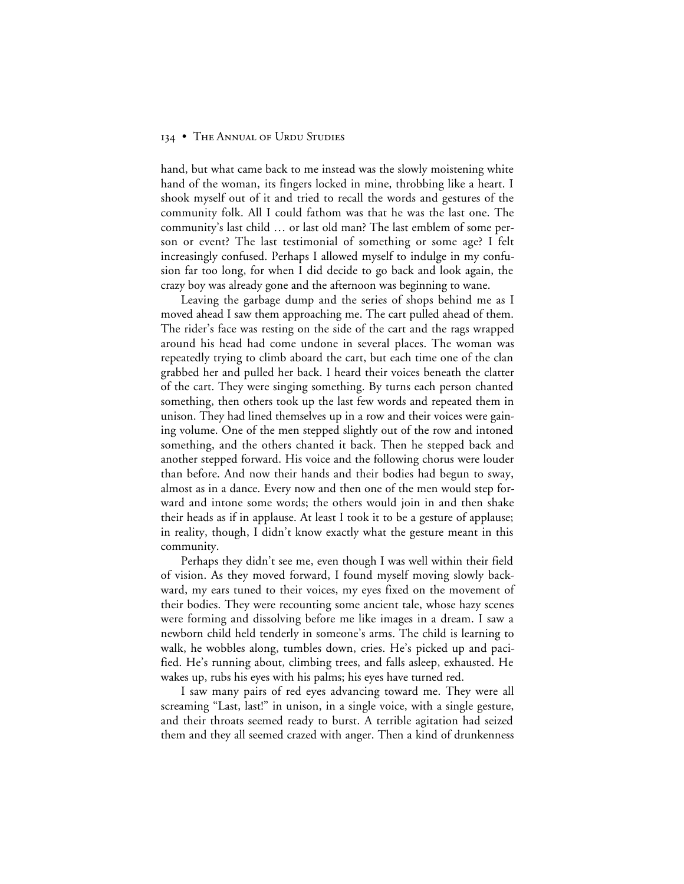hand, but what came back to me instead was the slowly moistening white hand of the woman, its fingers locked in mine, throbbing like a heart. I shook myself out of it and tried to recall the words and gestures of the community folk. All I could fathom was that he was the last one. The community's last child … or last old man? The last emblem of some person or event? The last testimonial of something or some age? I felt increasingly confused. Perhaps I allowed myself to indulge in my confusion far too long, for when I did decide to go back and look again, the crazy boy was already gone and the afternoon was beginning to wane.

Leaving the garbage dump and the series of shops behind me as I moved ahead I saw them approaching me. The cart pulled ahead of them. The rider's face was resting on the side of the cart and the rags wrapped around his head had come undone in several places. The woman was repeatedly trying to climb aboard the cart, but each time one of the clan grabbed her and pulled her back. I heard their voices beneath the clatter of the cart. They were singing something. By turns each person chanted something, then others took up the last few words and repeated them in unison. They had lined themselves up in a row and their voices were gaining volume. One of the men stepped slightly out of the row and intoned something, and the others chanted it back. Then he stepped back and another stepped forward. His voice and the following chorus were louder than before. And now their hands and their bodies had begun to sway, almost as in a dance. Every now and then one of the men would step forward and intone some words; the others would join in and then shake their heads as if in applause. At least I took it to be a gesture of applause; in reality, though, I didn't know exactly what the gesture meant in this community.

Perhaps they didn't see me, even though I was well within their field of vision. As they moved forward, I found myself moving slowly backward, my ears tuned to their voices, my eyes fixed on the movement of their bodies. They were recounting some ancient tale, whose hazy scenes were forming and dissolving before me like images in a dream. I saw a newborn child held tenderly in someone's arms. The child is learning to walk, he wobbles along, tumbles down, cries. He's picked up and pacified. He's running about, climbing trees, and falls asleep, exhausted. He wakes up, rubs his eyes with his palms; his eyes have turned red.

I saw many pairs of red eyes advancing toward me. They were all screaming "Last, last!" in unison, in a single voice, with a single gesture, and their throats seemed ready to burst. A terrible agitation had seized them and they all seemed crazed with anger. Then a kind of drunkenness